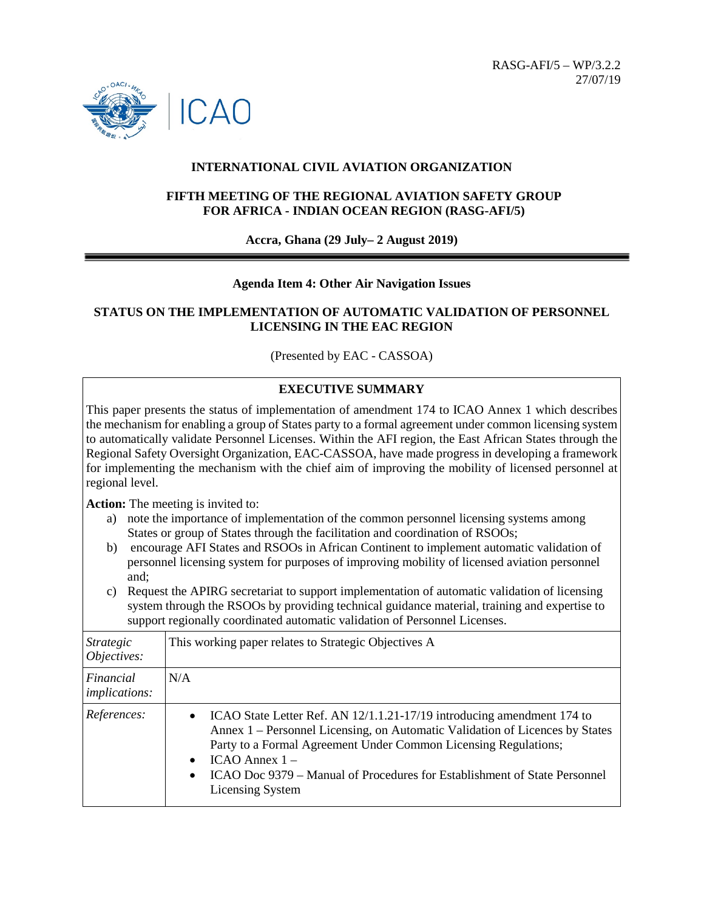

# **INTERNATIONAL CIVIL AVIATION ORGANIZATION**

### **FIFTH MEETING OF THE REGIONAL AVIATION SAFETY GROUP FOR AFRICA - INDIAN OCEAN REGION (RASG-AFI/5)**

**Accra, Ghana (29 July– 2 August 2019)**

### **Agenda Item 4: Other Air Navigation Issues**

## **STATUS ON THE IMPLEMENTATION OF AUTOMATIC VALIDATION OF PERSONNEL LICENSING IN THE EAC REGION**

(Presented by EAC - CASSOA)

## **EXECUTIVE SUMMARY**

This paper presents the status of implementation of amendment 174 to ICAO Annex 1 which describes the mechanism for enabling a group of States party to a formal agreement under common licensing system to automatically validate Personnel Licenses. Within the AFI region, the East African States through the Regional Safety Oversight Organization, EAC-CASSOA, have made progress in developing a framework for implementing the mechanism with the chief aim of improving the mobility of licensed personnel at regional level.

**Action:** The meeting is invited to:

- a) note the importance of implementation of the common personnel licensing systems among States or group of States through the facilitation and coordination of RSOOs;
- b) encourage AFI States and RSOOs in African Continent to implement automatic validation of personnel licensing system for purposes of improving mobility of licensed aviation personnel and;
- c) Request the APIRG secretariat to support implementation of automatic validation of licensing system through the RSOOs by providing technical guidance material, training and expertise to support regionally coordinated automatic validation of Personnel Licenses.

| Strategic<br>Objectives:          | This working paper relates to Strategic Objectives A                                                                                                                                                                                                                                                                                                              |
|-----------------------------------|-------------------------------------------------------------------------------------------------------------------------------------------------------------------------------------------------------------------------------------------------------------------------------------------------------------------------------------------------------------------|
| Financial<br><i>implications:</i> | N/A                                                                                                                                                                                                                                                                                                                                                               |
| References:                       | • ICAO State Letter Ref. AN $12/1.1.21 - 17/19$ introducing amendment 174 to<br>Annex 1 – Personnel Licensing, on Automatic Validation of Licences by States<br>Party to a Formal Agreement Under Common Licensing Regulations;<br>ICAO Annex $1 -$<br>$\bullet$<br>ICAO Doc 9379 – Manual of Procedures for Establishment of State Personnel<br>Licensing System |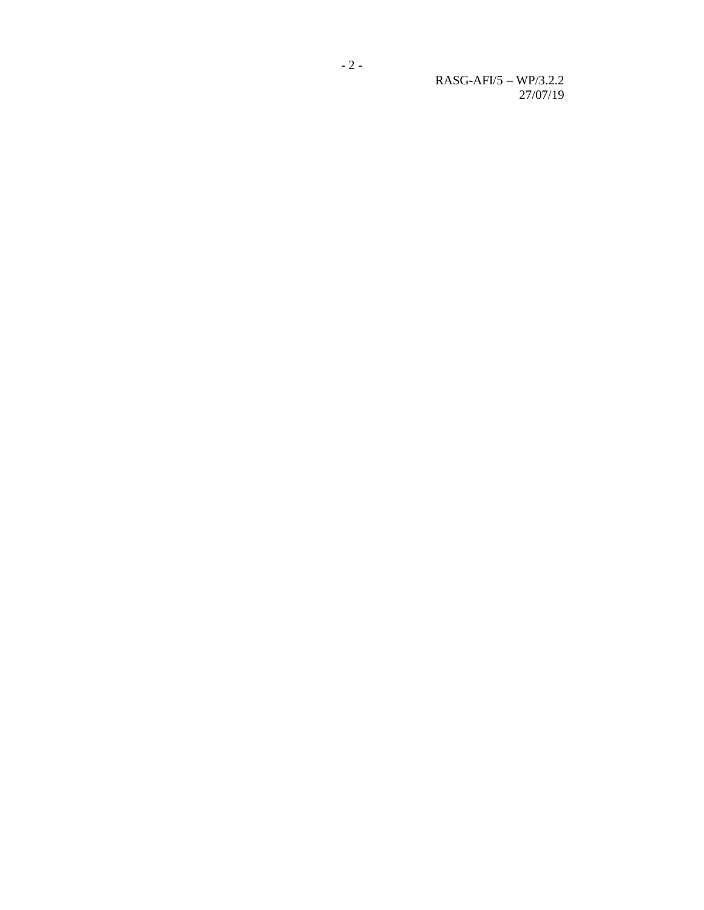$RASG-AFI/5 - WP/3.2.2$ 27/07/19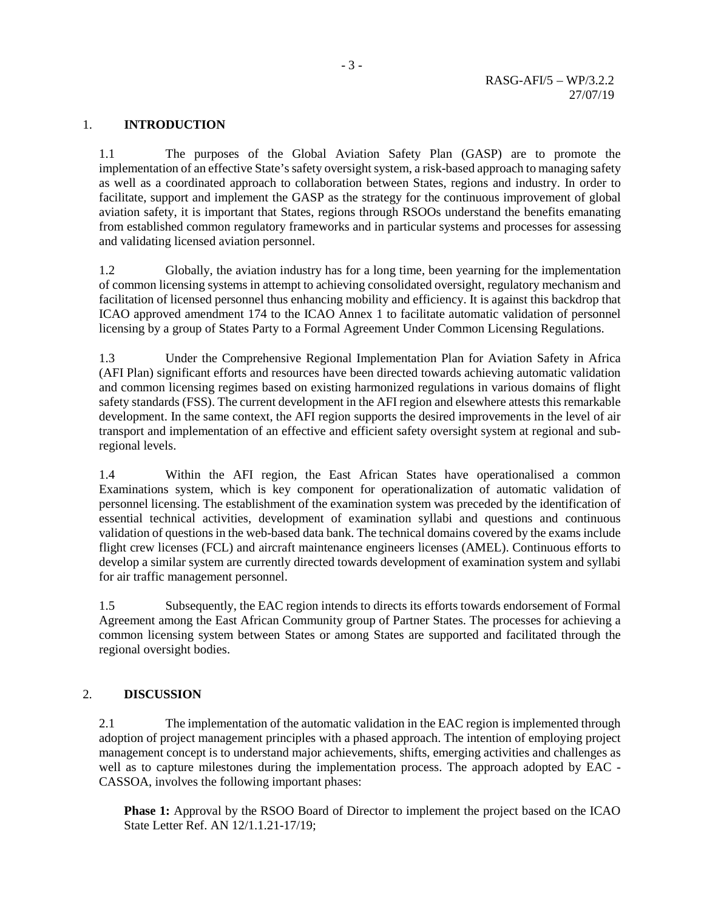#### 1. **INTRODUCTION**

1.1 The purposes of the Global Aviation Safety Plan (GASP) are to promote the implementation of an effective State's safety oversight system, a risk-based approach to managing safety as well as a coordinated approach to collaboration between States, regions and industry. In order to facilitate, support and implement the GASP as the strategy for the continuous improvement of global aviation safety, it is important that States, regions through RSOOs understand the benefits emanating from established common regulatory frameworks and in particular systems and processes for assessing and validating licensed aviation personnel.

1.2 Globally, the aviation industry has for a long time, been yearning for the implementation of common licensing systems in attempt to achieving consolidated oversight, regulatory mechanism and facilitation of licensed personnel thus enhancing mobility and efficiency. It is against this backdrop that ICAO approved amendment 174 to the ICAO Annex 1 to facilitate automatic validation of personnel licensing by a group of States Party to a Formal Agreement Under Common Licensing Regulations.

1.3 Under the Comprehensive Regional Implementation Plan for Aviation Safety in Africa (AFI Plan) significant efforts and resources have been directed towards achieving automatic validation and common licensing regimes based on existing harmonized regulations in various domains of flight safety standards (FSS). The current development in the AFI region and elsewhere attests this remarkable development. In the same context, the AFI region supports the desired improvements in the level of air transport and implementation of an effective and efficient safety oversight system at regional and subregional levels.

1.4 Within the AFI region, the East African States have operationalised a common Examinations system, which is key component for operationalization of automatic validation of personnel licensing. The establishment of the examination system was preceded by the identification of essential technical activities, development of examination syllabi and questions and continuous validation of questions in the web-based data bank. The technical domains covered by the exams include flight crew licenses (FCL) and aircraft maintenance engineers licenses (AMEL). Continuous efforts to develop a similar system are currently directed towards development of examination system and syllabi for air traffic management personnel.

1.5 Subsequently, the EAC region intends to directs its efforts towards endorsement of Formal Agreement among the East African Community group of Partner States. The processes for achieving a common licensing system between States or among States are supported and facilitated through the regional oversight bodies.

## 2. **DISCUSSION**

2.1 The implementation of the automatic validation in the EAC region is implemented through adoption of project management principles with a phased approach. The intention of employing project management concept is to understand major achievements, shifts, emerging activities and challenges as well as to capture milestones during the implementation process. The approach adopted by EAC - CASSOA, involves the following important phases:

**Phase 1:** Approval by the RSOO Board of Director to implement the project based on the ICAO State Letter Ref. AN 12/1.1.21-17/19;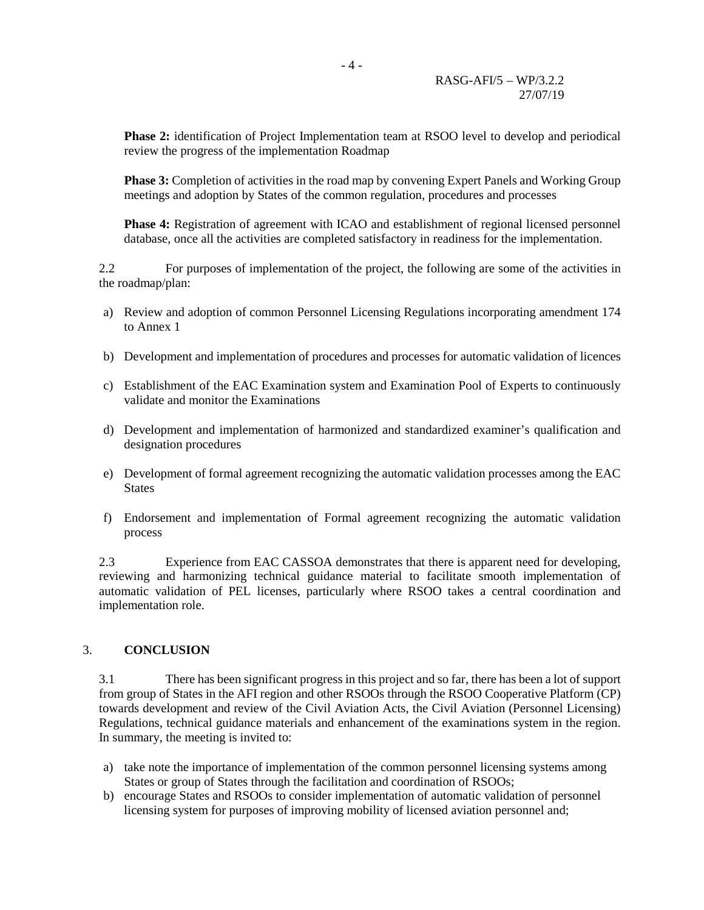**Phase 2:** identification of Project Implementation team at RSOO level to develop and periodical review the progress of the implementation Roadmap

**Phase 3:** Completion of activities in the road map by convening Expert Panels and Working Group meetings and adoption by States of the common regulation, procedures and processes

**Phase 4:** Registration of agreement with ICAO and establishment of regional licensed personnel database, once all the activities are completed satisfactory in readiness for the implementation.

2.2 For purposes of implementation of the project, the following are some of the activities in the roadmap/plan:

- a) Review and adoption of common Personnel Licensing Regulations incorporating amendment 174 to Annex 1
- b) Development and implementation of procedures and processes for automatic validation of licences
- c) Establishment of the EAC Examination system and Examination Pool of Experts to continuously validate and monitor the Examinations
- d) Development and implementation of harmonized and standardized examiner's qualification and designation procedures
- e) Development of formal agreement recognizing the automatic validation processes among the EAC States
- f) Endorsement and implementation of Formal agreement recognizing the automatic validation process

2.3 Experience from EAC CASSOA demonstrates that there is apparent need for developing, reviewing and harmonizing technical guidance material to facilitate smooth implementation of automatic validation of PEL licenses, particularly where RSOO takes a central coordination and implementation role.

#### 3. **CONCLUSION**

3.1 There has been significant progress in this project and so far, there has been a lot of support from group of States in the AFI region and other RSOOs through the RSOO Cooperative Platform (CP) towards development and review of the Civil Aviation Acts, the Civil Aviation (Personnel Licensing) Regulations, technical guidance materials and enhancement of the examinations system in the region. In summary, the meeting is invited to:

- a) take note the importance of implementation of the common personnel licensing systems among States or group of States through the facilitation and coordination of RSOOs;
- b) encourage States and RSOOs to consider implementation of automatic validation of personnel licensing system for purposes of improving mobility of licensed aviation personnel and;